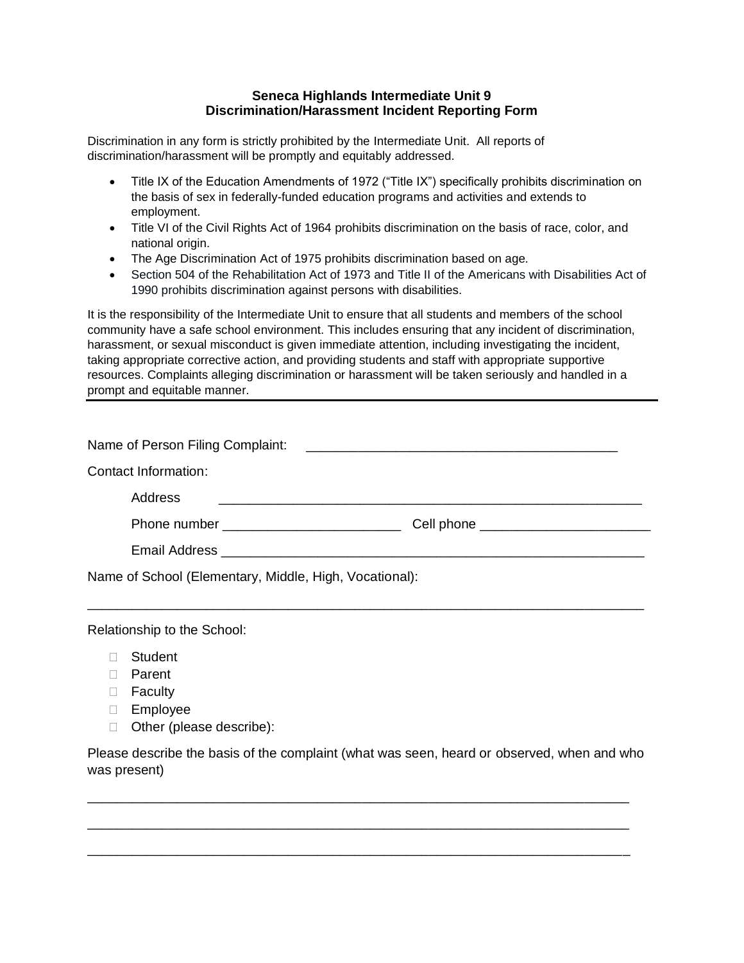## **Seneca Highlands Intermediate Unit 9 Discrimination/Harassment Incident Reporting Form**

Discrimination in any form is strictly prohibited by the Intermediate Unit. All reports of discrimination/harassment will be promptly and equitably addressed.

- Title IX of the Education Amendments of 1972 ("Title IX") specifically prohibits discrimination on the basis of sex in federally-funded education programs and activities and extends to employment.
- Title VI of the Civil Rights Act of 1964 prohibits discrimination on the basis of race, color, and national origin.
- The Age Discrimination Act of 1975 prohibits discrimination based on age*.*
- Section 504 of the Rehabilitation Act of 1973 and Title II of the Americans with Disabilities Act of 1990 prohibits discrimination against persons with disabilities.

It is the responsibility of the Intermediate Unit to ensure that all students and members of the school community have a safe school environment. This includes ensuring that any incident of discrimination, harassment, or sexual misconduct is given immediate attention, including investigating the incident, taking appropriate corrective action, and providing students and staff with appropriate supportive resources. Complaints alleging discrimination or harassment will be taken seriously and handled in a prompt and equitable manner.

| Name of Person Filing Complaint:                       | <u> 1980 - Andrea Andrew Maria (h. 1980).</u> |  |
|--------------------------------------------------------|-----------------------------------------------|--|
| Contact Information:                                   |                                               |  |
| Address                                                |                                               |  |
|                                                        |                                               |  |
|                                                        |                                               |  |
| Name of School (Elementary, Middle, High, Vocational): |                                               |  |

\_\_\_\_\_\_\_\_\_\_\_\_\_\_\_\_\_\_\_\_\_\_\_\_\_\_\_\_\_\_\_\_\_\_\_\_\_\_\_\_\_\_\_\_\_\_\_\_\_\_\_\_\_\_\_\_\_\_\_\_\_\_\_\_\_\_\_\_\_\_\_\_\_\_\_

Relationship to the School:

- Student
- Parent
- □ Faculty
- Employee
- □ Other (please describe):

Please describe the basis of the complaint (what was seen, heard or observed, when and who was present)

\_\_\_\_\_\_\_\_\_\_\_\_\_\_\_\_\_\_\_\_\_\_\_\_\_\_\_\_\_\_\_\_\_\_\_\_\_\_\_\_\_\_\_\_\_\_\_\_\_\_\_\_\_\_\_\_\_\_\_\_\_\_\_\_\_\_\_\_\_\_\_\_\_

\_\_\_\_\_\_\_\_\_\_\_\_\_\_\_\_\_\_\_\_\_\_\_\_\_\_\_\_\_\_\_\_\_\_\_\_\_\_\_\_\_\_\_\_\_\_\_\_\_\_\_\_\_\_\_\_\_\_\_\_\_\_\_\_\_\_\_\_\_\_\_\_\_

\_\_\_\_\_\_\_\_\_\_\_\_\_\_\_\_\_\_\_\_\_\_\_\_\_\_\_\_\_\_\_\_\_\_\_\_\_\_\_\_\_\_\_\_\_\_\_\_\_\_\_\_\_\_\_\_\_\_\_\_\_\_\_\_\_\_\_\_\_\_\_\_\_